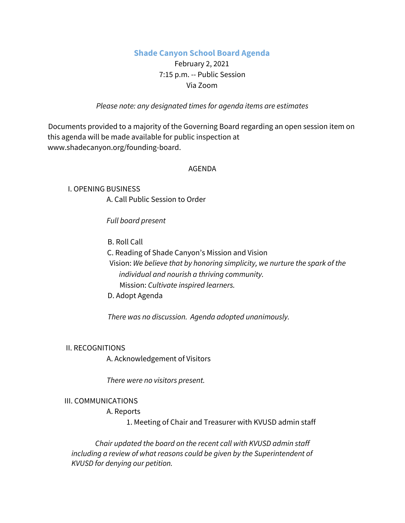# **Shade Canyon School Board Agenda**

# February 2, 2021 7:15 p.m. -- Public Session Via Zoom

*Please note: any designated times for agenda items are estimates*

Documents provided to a majority of the Governing Board regarding an open session item on this agenda will be made available for public inspection at www.shadecanyon.org/founding-board.

### AGENDA

I. OPENING BUSINESS A. Call Public Session to Order

*Full board present*

B. Roll Call

C. Reading of Shade Canyon's Mission and Vision

Vision: *We believe that by honoring simplicity, we nurture the spark of the individual and nourish a thriving community.* Mission: *Cultivate inspired learners.*

D. Adopt Agenda

*There was no discussion. Agenda adopted unanimously.*

#### II. RECOGNITIONS

A. Acknowledgement of Visitors

*There were no visitors present.*

### III. COMMUNICATIONS

#### A. Reports

1. Meeting of Chair and Treasurer with KVUSD admin staff

*Chair updated the board on the recent call with KVUSD admin staff including a review of what reasons could be given by the Superintendent of KVUSD for denying our petition.*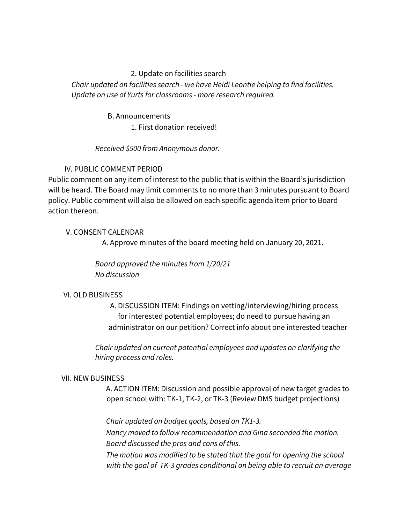# 2. Update on facilities search

*Chair updated on facilities search - we have Heidi Leontie helping to find facilities. Update on use of Yurts for classrooms - more research required.*

### B. Announcements

1. First donation received!

*Received \$500 from Anonymous donor.*

# IV. PUBLIC COMMENT PERIOD

Public comment on any item of interest to the public that is within the Board's jurisdiction will be heard. The Board may limit comments to no more than 3 minutes pursuant to Board policy. Public comment will also be allowed on each specific agenda item prior to Board action thereon.

# V. CONSENT CALENDAR

A. Approve minutes of the board meeting held on January 20, 2021.

*Board approved the minutes from 1/20/21 No discussion*

# VI. OLD BUSINESS

A. DISCUSSION ITEM: Findings on vetting/interviewing/hiring process for interested potential employees; do need to pursue having an administrator on our petition? Correct info about one interested teacher

*Chair updated on current potential employees and updates on clarifying the hiring process and roles.*

### VII. NEW BUSINESS

A. ACTION ITEM: Discussion and possible approval of new target grades to open school with: TK-1, TK-2, or TK-3 (Review DMS budget projections)

*Chair updated on budget goals, based on TK1-3. Nancy moved to follow recommendation and Gina seconded the motion. Board discussed the pros and cons of this. The motion was modified to be stated that the goal for opening the school with the goal of TK-3 grades conditional on being able to recruit an average*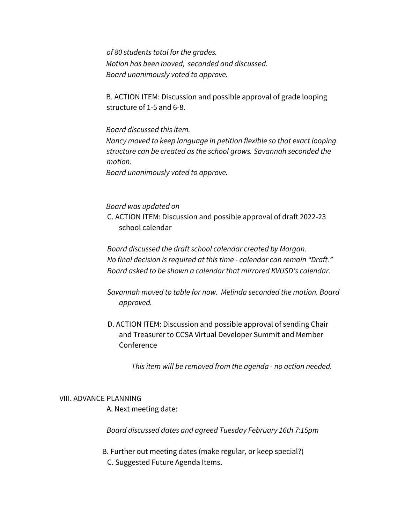*of 80 students total for the grades. Motion has been moved, seconded and discussed. Board unanimously voted to approve.*

B. ACTION ITEM: Discussion and possible approval of grade looping structure of 1-5 and 6-8.

*Board discussed this item.*

*Nancy moved to keep language in petition flexible so that exact looping structure can be created as the school grows. Savannah seconded the motion.*

*Board unanimously voted to approve.*

*Board was updated on*

C. ACTION ITEM: Discussion and possible approval of draft 2022-23 school calendar

*Board discussed the draft school calendar created by Morgan. No final decision is required at this time - calendar can remain "Draft." Board asked to be shown a calendar that mirrored KVUSD's calendar.*

*Savannah moved to table for now. Melinda seconded the motion. Board approved.*

D. ACTION ITEM: Discussion and possible approval of sending Chair and Treasurer to CCSA Virtual Developer Summit and Member Conference

*This item will be removed from the agenda - no action needed.*

#### VIII. ADVANCE PLANNING

A. Next meeting date:

*Board discussed dates and agreed Tuesday February 16th 7:15pm*

B. Further out meeting dates (make regular, or keep special?) C. Suggested Future Agenda Items.